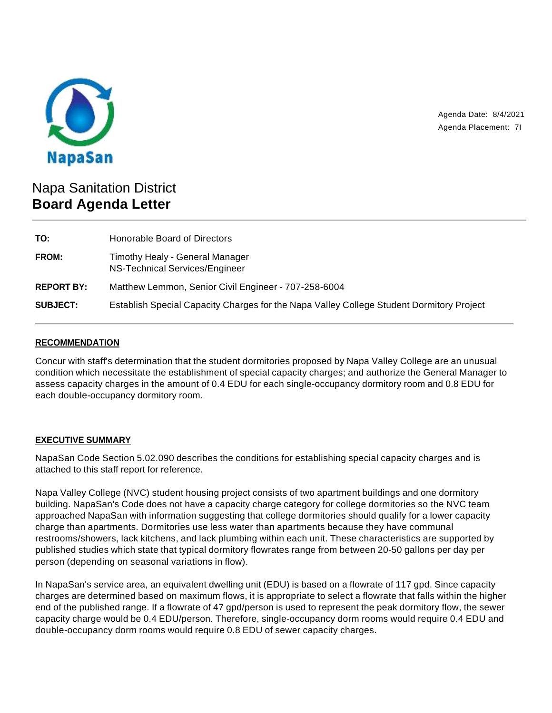

Agenda Date: 8/4/2021 Agenda Placement: 7I

# Napa Sanitation District **Board Agenda Letter**

| TO:               | Honorable Board of Directors                                                             |
|-------------------|------------------------------------------------------------------------------------------|
| FROM:             | Timothy Healy - General Manager<br>NS-Technical Services/Engineer                        |
| <b>REPORT BY:</b> | Matthew Lemmon, Senior Civil Engineer - 707-258-6004                                     |
| <b>SUBJECT:</b>   | Establish Special Capacity Charges for the Napa Valley College Student Dormitory Project |

### **RECOMMENDATION**

Concur with staff's determination that the student dormitories proposed by Napa Valley College are an unusual condition which necessitate the establishment of special capacity charges; and authorize the General Manager to assess capacity charges in the amount of 0.4 EDU for each single-occupancy dormitory room and 0.8 EDU for each double-occupancy dormitory room.

#### **EXECUTIVE SUMMARY**

NapaSan Code Section 5.02.090 describes the conditions for establishing special capacity charges and is attached to this staff report for reference.

Napa Valley College (NVC) student housing project consists of two apartment buildings and one dormitory building. NapaSan's Code does not have a capacity charge category for college dormitories so the NVC team approached NapaSan with information suggesting that college dormitories should qualify for a lower capacity charge than apartments. Dormitories use less water than apartments because they have communal restrooms/showers, lack kitchens, and lack plumbing within each unit. These characteristics are supported by published studies which state that typical dormitory flowrates range from between 20-50 gallons per day per person (depending on seasonal variations in flow).

In NapaSan's service area, an equivalent dwelling unit (EDU) is based on a flowrate of 117 gpd. Since capacity charges are determined based on maximum flows, it is appropriate to select a flowrate that falls within the higher end of the published range. If a flowrate of 47 gpd/person is used to represent the peak dormitory flow, the sewer capacity charge would be 0.4 EDU/person. Therefore, single-occupancy dorm rooms would require 0.4 EDU and double-occupancy dorm rooms would require 0.8 EDU of sewer capacity charges.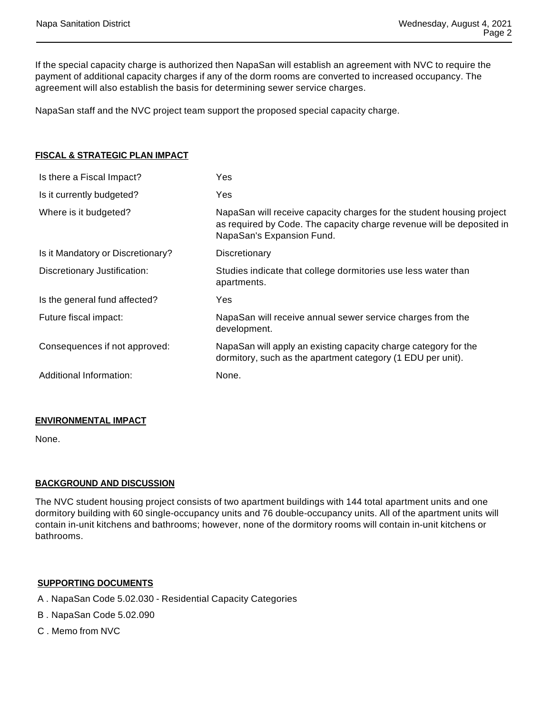If the special capacity charge is authorized then NapaSan will establish an agreement with NVC to require the payment of additional capacity charges if any of the dorm rooms are converted to increased occupancy. The agreement will also establish the basis for determining sewer service charges.

NapaSan staff and the NVC project team support the proposed special capacity charge.

| <u>FISCAL &amp; STRATEGIC PLAN IMPACT</u> |                                                                                                                                                                             |
|-------------------------------------------|-----------------------------------------------------------------------------------------------------------------------------------------------------------------------------|
| Is there a Fiscal Impact?                 | Yes                                                                                                                                                                         |
| Is it currently budgeted?                 | Yes                                                                                                                                                                         |
| Where is it budgeted?                     | NapaSan will receive capacity charges for the student housing project<br>as required by Code. The capacity charge revenue will be deposited in<br>NapaSan's Expansion Fund. |
| Is it Mandatory or Discretionary?         | Discretionary                                                                                                                                                               |
| Discretionary Justification:              | Studies indicate that college dormitories use less water than<br>apartments.                                                                                                |
| Is the general fund affected?             | Yes                                                                                                                                                                         |
| Future fiscal impact:                     | NapaSan will receive annual sewer service charges from the<br>development.                                                                                                  |
| Consequences if not approved:             | NapaSan will apply an existing capacity charge category for the<br>dormitory, such as the apartment category (1 EDU per unit).                                              |
| Additional Information:                   | None.                                                                                                                                                                       |

#### **ENVIRONMENTAL IMPACT**

None.

#### **BACKGROUND AND DISCUSSION**

The NVC student housing project consists of two apartment buildings with 144 total apartment units and one dormitory building with 60 single-occupancy units and 76 double-occupancy units. All of the apartment units will contain in-unit kitchens and bathrooms; however, none of the dormitory rooms will contain in-unit kitchens or bathrooms.

## **SUPPORTING DOCUMENTS**

- A . NapaSan Code 5.02.030 Residential Capacity Categories
- B . NapaSan Code 5.02.090
- C . Memo from NVC